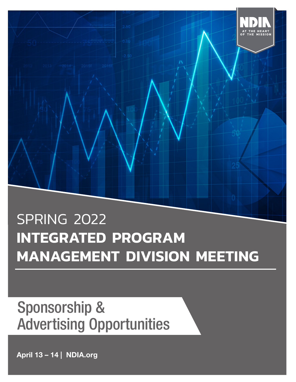

# **INTEGRATED PROGRAM MANAGEMENT DIVISION MEETING**

## Sponsorship & Advertising Opportunities

April 13 – 14 | NDIA.org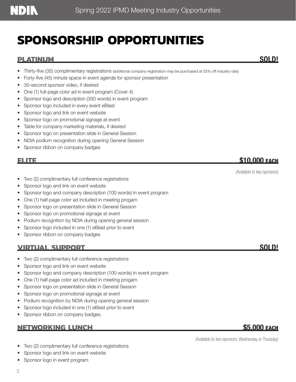## **SPONSORSHIP OPPORTUNITIES**

### **PLATINUM** SOLD!

- Forty-five (45) minute space in event agenda for sponsor presentation
- 30-second sponsor video, if desired
- One (1) full-page color ad in event program (Cover 4)
- Sponsor logo and description (350 words) in event program
- Sponsor logo included in every event eBlast
- Sponsor logo and link on event website
- Sponsor logo on promotional signage at event
- Table for company marketing materials, if desired
- Sponsor logo on presentation slide in General Session
- NDIA podium recognition during opening General Session
- Sponsor ribbon on company badges

### **ELITE** \$10,000 EACH

(Available to two sponsors)

- Two (2) complimentary full conference registrations
- Sponsor logo and link on event website
- Sponsor logo and company description (100 words) in event program
- One (1) half-page color ad included in meeting progam
- Sponsor logo on presentation slide in General Session
- Sponsor logo on promotional signage at event
- Podium recognition by NDIA during opening general session
- Sponsor logo included in one (1) eBlast prior to event
- Sponsor ribbon on company badges

### <u>VIRTUAL SUPPORT SOLD!</u>

- Two (2) complimentary full conference registrations
- Sponsor logo and link on event website
- Sponsor logo and company description (100 words) in event program
- One (1) half-page color ad included in meeting progam
- Sponsor logo on presentation slide in General Session
- Sponsor logo on promotional signage at event
- Podium recognition by NDIA during opening general session
- Sponsor logo included in one (1) eBlast prior to event
- Sponsor ribbon on company badges.

### **NETWORKING LUNCH** \$5,000 EACH

- Two (2) complimentary full conference registrations
- Sponsor logo and link on event website
- Sponsor logo in event program

(Available to two sponsors: Wednesday or Thursday)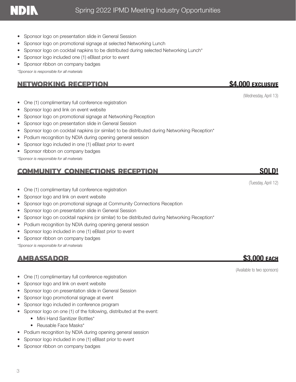- Sponsor logo on presentation slide in General Session
- Sponsor logo on promotional signage at selected Networking Lunch
- Sponsor logo on cocktail napkins to be distributed during selected Networking Lunch\*
- Sponsor logo included one (1) eBlast prior to event
- Sponsor ribbon on company badges

*\*Sponsor is responsible for all materials*

### **NETWORKING RECEPTION** \$4,000 EXCLUSIVE

- One (1) complimentary full conference registration
- Sponsor logo and link on event website
- Sponsor logo on promotional signage at Networking Reception
- Sponsor logo on presentation slide in General Session
- Sponsor logo on cocktail napkins (or similar) to be distributed during Networking Reception\*
- Podium recognition by NDIA during opening general session
- Sponsor logo included in one (1) eBlast prior to event
- Sponsor ribbon on company badges

*\*Sponsor is responsible for all materials*

### **COMMUNITY CONNECTIONS RECEPTION** SOLD!

- One (1) complimentary full conference registration
- Sponsor logo and link on event website
- Sponsor logo on promotional signage at Community Connections Reception
- Sponsor logo on presentation slide in General Session
- Sponsor logo on cocktail napkins (or similar) to be distributed during Networking Reception\*
- Podium recognition by NDIA during opening general session
- Sponsor logo included in one (1) eBlast prior to event
- Sponsor ribbon on company badges

*\*Sponsor is responsible for all materials*

### **AMBASSADOR** \$3,000 EACH

- One (1) complimentary full conference registration
- Sponsor logo and link on event website
- Sponsor logo on presentation slide in General Session
- Sponsor logo promotional signage at event
- Sponsor logo included in conference program
- Sponsor logo on one (1) of the following, distributed at the event:
	- Mini Hand Sanitizer Bottles\*
	- Reusable Face Masks\*
- Podium recognition by NDIA during opening general session
- Sponsor logo included in one (1) eBlast prior to event
- Sponsor ribbon on company badges

(Wednesday, April 13)

### (Tuesday, April 12)

(Available to two sponsors)